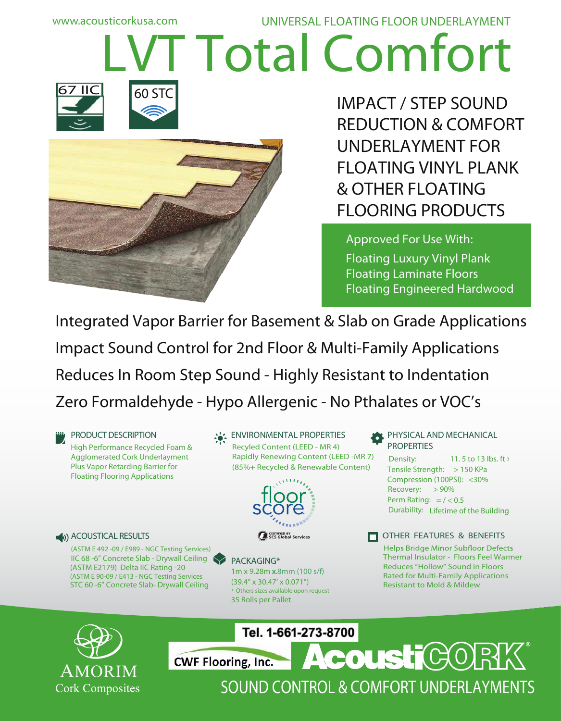# **T** Total Comfort







**IMPACT / STEP SOUND REDUCTION & COMFORT UNDERLAYMENT FOR FLOATING VINYL PLANK & OTHER FLOATING FLOORING PRODUCTS**

**Approved For Use With: Floating Luxury Vinyl Plank Floating Laminate Floors Floating Engineered Hardwood** 

Integrated Vapor Barrier for Basement & Slab on Grade Applications Impact Sound Control for 2nd Floor & Multi-Family Applications Reduces In Room Step Sound - Highly Resistant to Indentation Zero Formaldehyde - Hypo Allergenic - No Pthalates or VOC's

**PRODUCT DESCRIPTION** High Performance Recycled Foam & Agglomerated Cork Underlayment Plus Vapor Retarding Barrier for Floating Flooring Applications

#### **ENVIRONMENTAL PROPERTIES**

Recyled Content (LEED - MR 4) (85%+ Recycled & Renewable Content) Rapidly Renewing Content (LEED -MR 7)



#### **ACOUSTICAL RESULTS**

**(ASTM E 492 -09 / E989 - NGC Testing Services)** IIC 68 -6" Concrete Slab - Drywall Ceiling STC 60 -6" Concrete Slab- Drywall Ceiling **(ASTM E 90-09 / E413 - NGC Testing Services** (ASTM E2179) Delta IIC Rating -20

#### **PACKAGING\***

1m x 9.28m x.8mm (100 s/f) (39.4" x 30.47' x 0.071") \* Others sizes available upon request 35 Rolls per Pallet

**PHYSICAL AND MECHANICAL PROPERTIES** 

11. 5 to 13 lbs. ft <sup>3</sup> Tensile Strength: > 150 KPa Compression (100PSI): <30% Recovery: > 90% Durability: Lifetime of the Building Density: Perm Rating:  $=$  / < 0.5



Helps Bridge Minor Subfloor Defects Thermal Insulator - Floors Feel Warmer Reduces "Hollow" Sound in Floors Rated for Multi-Family Applications Resistant to Mold & Mildew



Tel. 1-661-273-8700



SOUND CONTROL & COMFORT UNDERLAYMENTS

**AcoustiCOR**